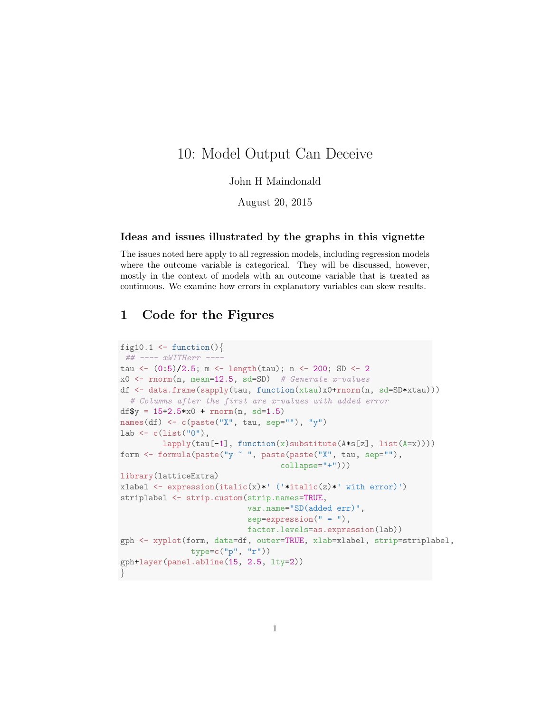## 10: Model Output Can Deceive

## John H Maindonald

August 20, 2015

## Ideas and issues illustrated by the graphs in this vignette

The issues noted here apply to all regression models, including regression models where the outcome variable is categorical. They will be discussed, however, mostly in the context of models with an outcome variable that is treated as continuous. We examine how errors in explanatory variables can skew results.

## 1 Code for the Figures

```
fig10.1 \leftarrow function(){
## ---- xWITHerr ----
tau <- (0:5)/2.5; m <- length(tau); n <- 200; SD <- 2
x0 \leftarrow \text{rnorm}(n, \text{mean=12.5, sd=SD}) # Generate x\text{-}valuesdf <- data.frame(sapply(tau, function(xtau)x0+rnorm(n, sd=SD*xtau)))
  # Columns after the first are x-values with added error
df$y = 15+2.5*x0 + rnorm(n, sd=1.5)names(df) \leftarrow c(paste("X", tau, sep=""), "y")
lab \leq c(list("0"),
         lapply(tau[-1], function(x)substitute(A*s[z], list(A=x))))
form <- formula(paste("y ~ ", paste(paste("X", tau, sep=""),
                                    collapse="+")))
library(latticeExtra)
xlabel \leq expression(italic(x)*' ('*italic(z)*' with error)')
striplabel <- strip.custom(strip.names=TRUE,
                            var.name="SD(added err)",
                            sep=expression(" = "),
                            factor.levels=as.expression(lab))
gph <- xyplot(form, data=df, outer=TRUE, xlab=xlabel, strip=striplabel,
                type=c("p", "r"))
gph+layer(panel.abline(15, 2.5, lty=2))
}
```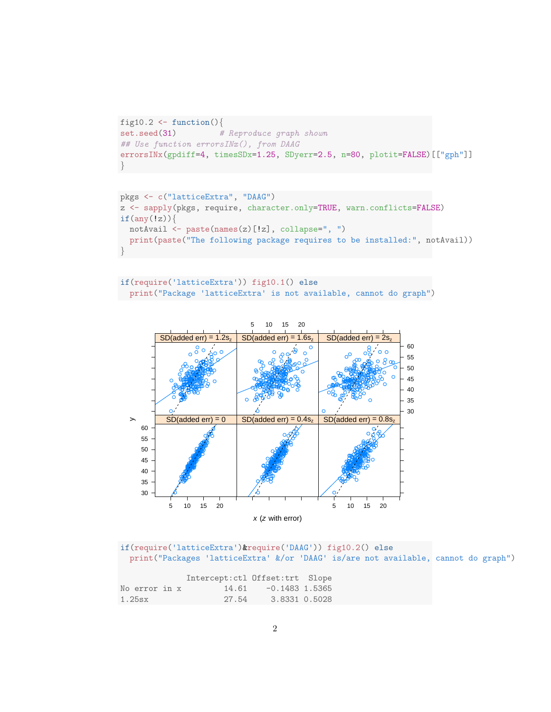```
fig10.2 <- function(){
set.seed(31) # Reproduce graph shown
## Use function errorsINx(), from DAAG
errorsINx(gpdiff=4, timesSDx=1.25, SDyerr=2.5, n=80, plotit=FALSE)[["gph"]]
}
```

```
pkgs <- c("latticeExtra", "DAAG")
z <- sapply(pkgs, require, character.only=TRUE, warn.conflicts=FALSE)
if(any(!z))notAvail <- paste(names(z)[!z], collapse=", ")
 print(paste("The following package requires to be installed:", notAvail))
}
```

```
if(require('latticeExtra')) fig10.1() else
 print("Package 'latticeExtra' is not available, cannot do graph")
```


if(require('latticeExtra')&require('DAAG')) fig10.2() else print("Packages 'latticeExtra' &/or 'DAAG' is/are not available, cannot do graph")

|        |               |  | Intercept:ctl Offset:trt Slope |                  |  |
|--------|---------------|--|--------------------------------|------------------|--|
|        | No error in x |  | 14.61                          | $-0.1483$ 1.5365 |  |
| 1.25sx |               |  | 27.54                          | 3.8331 0.5028    |  |